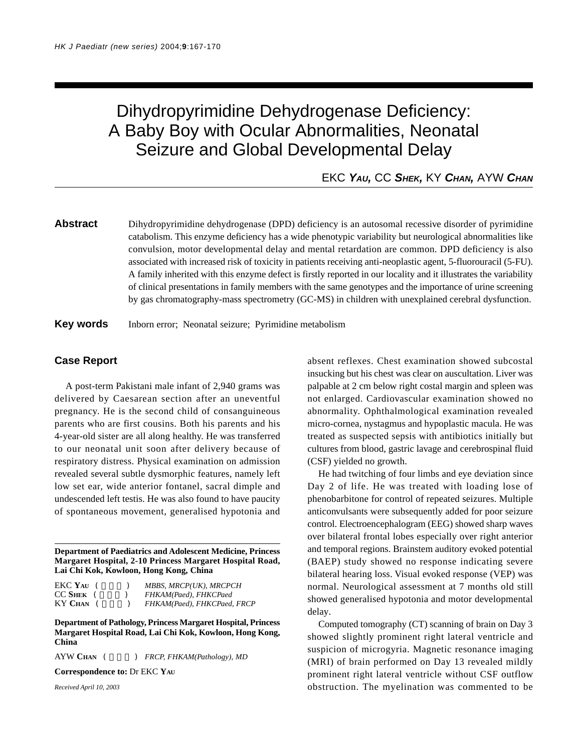# Dihydropyrimidine Dehydrogenase Deficiency: A Baby Boy with Ocular Abnormalities, Neonatal Seizure and Global Developmental Delay

## EKC *YAU,* CC *SHEK,* KY *CHAN,* AYW *CHAN*

**Abstract** Dihydropyrimidine dehydrogenase (DPD) deficiency is an autosomal recessive disorder of pyrimidine catabolism. This enzyme deficiency has a wide phenotypic variability but neurological abnormalities like convulsion, motor developmental delay and mental retardation are common. DPD deficiency is also associated with increased risk of toxicity in patients receiving anti-neoplastic agent, 5-fluorouracil (5-FU). A family inherited with this enzyme defect is firstly reported in our locality and it illustrates the variability of clinical presentations in family members with the same genotypes and the importance of urine screening by gas chromatography-mass spectrometry (GC-MS) in children with unexplained cerebral dysfunction.

**Key words** Inborn error; Neonatal seizure; Pyrimidine metabolism

#### **Case Report**

A post-term Pakistani male infant of 2,940 grams was delivered by Caesarean section after an uneventful pregnancy. He is the second child of consanguineous parents who are first cousins. Both his parents and his 4-year-old sister are all along healthy. He was transferred to our neonatal unit soon after delivery because of respiratory distress. Physical examination on admission revealed several subtle dysmorphic features, namely left low set ear, wide anterior fontanel, sacral dimple and undescended left testis. He was also found to have paucity of spontaneous movement, generalised hypotonia and

**Department of Paediatrics and Adolescent Medicine, Princess Margaret Hospital, 2-10 Princess Margaret Hospital Road, Lai Chi Kok, Kowloon, Hong Kong, China**

| EKC Yau       | MBBS, MRCP(UK), MRCPCH      |
|---------------|-----------------------------|
| $CC$ SHEK $($ | FHKAM(Paed), FHKCPaed       |
| KY CHAN       | FHKAM(Paed), FHKCPaed, FRCP |

**Department of Pathology, Princess Margaret Hospital, Princess Margaret Hospital Road, Lai Chi Kok, Kowloon, Hong Kong, China**

AYW CHAN (  $FRCP, FHKAM(Pathology), MD$ 

**Correspondence to:** Dr EKC **YAU**

*Received April 10, 2003*

absent reflexes. Chest examination showed subcostal insucking but his chest was clear on auscultation. Liver was palpable at 2 cm below right costal margin and spleen was not enlarged. Cardiovascular examination showed no abnormality. Ophthalmological examination revealed micro-cornea, nystagmus and hypoplastic macula. He was treated as suspected sepsis with antibiotics initially but cultures from blood, gastric lavage and cerebrospinal fluid (CSF) yielded no growth.

He had twitching of four limbs and eye deviation since Day 2 of life. He was treated with loading lose of phenobarbitone for control of repeated seizures. Multiple anticonvulsants were subsequently added for poor seizure control. Electroencephalogram (EEG) showed sharp waves over bilateral frontal lobes especially over right anterior and temporal regions. Brainstem auditory evoked potential (BAEP) study showed no response indicating severe bilateral hearing loss. Visual evoked response (VEP) was normal. Neurological assessment at 7 months old still showed generalised hypotonia and motor developmental delay.

Computed tomography (CT) scanning of brain on Day 3 showed slightly prominent right lateral ventricle and suspicion of microgyria. Magnetic resonance imaging (MRI) of brain performed on Day 13 revealed mildly prominent right lateral ventricle without CSF outflow obstruction. The myelination was commented to be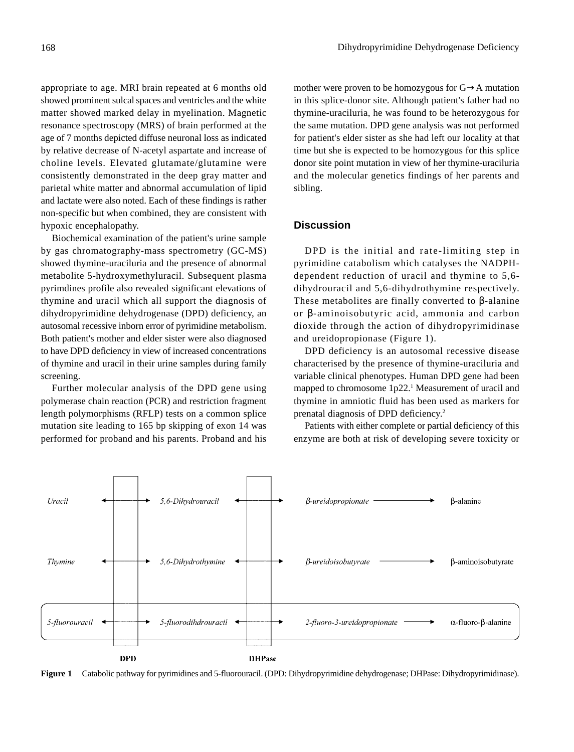appropriate to age. MRI brain repeated at 6 months old showed prominent sulcal spaces and ventricles and the white matter showed marked delay in myelination. Magnetic resonance spectroscopy (MRS) of brain performed at the age of 7 months depicted diffuse neuronal loss as indicated by relative decrease of N-acetyl aspartate and increase of choline levels. Elevated glutamate/glutamine were consistently demonstrated in the deep gray matter and parietal white matter and abnormal accumulation of lipid and lactate were also noted. Each of these findings is rather non-specific but when combined, they are consistent with hypoxic encephalopathy.

Biochemical examination of the patient's urine sample by gas chromatography-mass spectrometry (GC-MS) showed thymine-uraciluria and the presence of abnormal metabolite 5-hydroxymethyluracil. Subsequent plasma pyrimdines profile also revealed significant elevations of thymine and uracil which all support the diagnosis of dihydropyrimidine dehydrogenase (DPD) deficiency, an autosomal recessive inborn error of pyrimidine metabolism. Both patient's mother and elder sister were also diagnosed to have DPD deficiency in view of increased concentrations of thymine and uracil in their urine samples during family screening.

Further molecular analysis of the DPD gene using polymerase chain reaction (PCR) and restriction fragment length polymorphisms (RFLP) tests on a common splice mutation site leading to 165 bp skipping of exon 14 was performed for proband and his parents. Proband and his mother were proven to be homozygous for G→A mutation in this splice-donor site. Although patient's father had no thymine-uraciluria, he was found to be heterozygous for the same mutation. DPD gene analysis was not performed for patient's elder sister as she had left our locality at that time but she is expected to be homozygous for this splice donor site point mutation in view of her thymine-uraciluria and the molecular genetics findings of her parents and sibling.

### **Discussion**

DPD is the initial and rate-limiting step in pyrimidine catabolism which catalyses the NADPHdependent reduction of uracil and thymine to 5,6 dihydrouracil and 5,6-dihydrothymine respectively. These metabolites are finally converted to β-alanine or β-aminoisobutyric acid, ammonia and carbon dioxide through the action of dihydropyrimidinase and ureidopropionase (Figure 1).

DPD deficiency is an autosomal recessive disease characterised by the presence of thymine-uraciluria and variable clinical phenotypes. Human DPD gene had been mapped to chromosome 1p22.<sup>1</sup> Measurement of uracil and thymine in amniotic fluid has been used as markers for prenatal diagnosis of DPD deficiency.2

Patients with either complete or partial deficiency of this enzyme are both at risk of developing severe toxicity or



**Figure 1** Catabolic pathway for pyrimidines and 5-fluorouracil. (DPD: Dihydropyrimidine dehydrogenase; DHPase: Dihydropyrimidinase).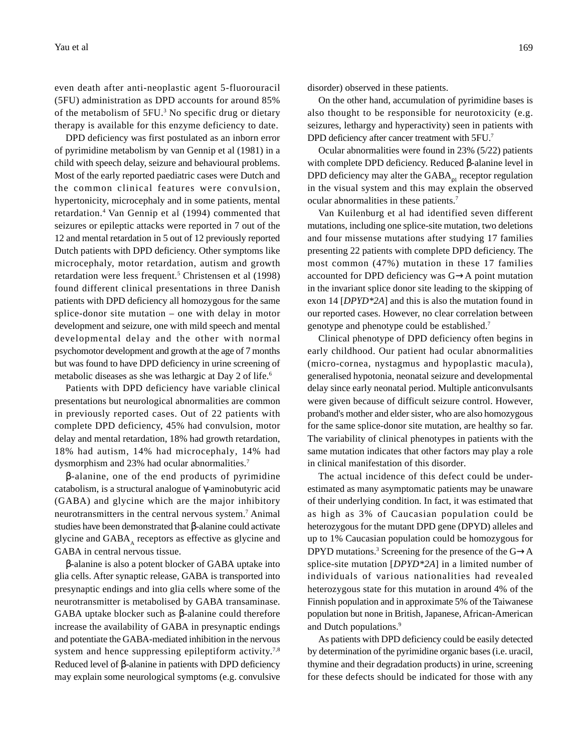even death after anti-neoplastic agent 5-fluorouracil (5FU) administration as DPD accounts for around 85% of the metabolism of 5FU.<sup>3</sup> No specific drug or dietary therapy is available for this enzyme deficiency to date.

DPD deficiency was first postulated as an inborn error of pyrimidine metabolism by van Gennip et al (1981) in a child with speech delay, seizure and behavioural problems. Most of the early reported paediatric cases were Dutch and the common clinical features were convulsion, hypertonicity, microcephaly and in some patients, mental retardation.4 Van Gennip et al (1994) commented that seizures or epileptic attacks were reported in 7 out of the 12 and mental retardation in 5 out of 12 previously reported Dutch patients with DPD deficiency. Other symptoms like microcephaly, motor retardation, autism and growth retardation were less frequent.<sup>5</sup> Christensen et al (1998) found different clinical presentations in three Danish patients with DPD deficiency all homozygous for the same splice-donor site mutation – one with delay in motor development and seizure, one with mild speech and mental developmental delay and the other with normal psychomotor development and growth at the age of 7 months but was found to have DPD deficiency in urine screening of metabolic diseases as she was lethargic at Day 2 of life.6

Patients with DPD deficiency have variable clinical presentations but neurological abnormalities are common in previously reported cases. Out of 22 patients with complete DPD deficiency, 45% had convulsion, motor delay and mental retardation, 18% had growth retardation, 18% had autism, 14% had microcephaly, 14% had dysmorphism and 23% had ocular abnormalities.7

β-alanine, one of the end products of pyrimidine catabolism, is a structural analogue of γ-aminobutyric acid (GABA) and glycine which are the major inhibitory neurotransmitters in the central nervous system.7 Animal studies have been demonstrated that β-alanine could activate glycine and  $GABA_A$  receptors as effective as glycine and GABA in central nervous tissue.

β-alanine is also a potent blocker of GABA uptake into glia cells. After synaptic release, GABA is transported into presynaptic endings and into glia cells where some of the neurotransmitter is metabolised by GABA transaminase. GABA uptake blocker such as β-alanine could therefore increase the availability of GABA in presynaptic endings and potentiate the GABA-mediated inhibition in the nervous system and hence suppressing epileptiform activity.<sup>7,8</sup> Reduced level of β-alanine in patients with DPD deficiency may explain some neurological symptoms (e.g. convulsive disorder) observed in these patients.

On the other hand, accumulation of pyrimidine bases is also thought to be responsible for neurotoxicity (e.g. seizures, lethargy and hyperactivity) seen in patients with DPD deficiency after cancer treatment with 5FU.<sup>7</sup>

Ocular abnormalities were found in 23% (5/22) patients with complete DPD deficiency. Reduced β-alanine level in DPD deficiency may alter the  $\text{GABA}_{\text{pl}}$  receptor regulation in the visual system and this may explain the observed ocular abnormalities in these patients.7

Van Kuilenburg et al had identified seven different mutations, including one splice-site mutation, two deletions and four missense mutations after studying 17 families presenting 22 patients with complete DPD deficiency. The most common (47%) mutation in these 17 families accounted for DPD deficiency was G→A point mutation in the invariant splice donor site leading to the skipping of exon 14 [*DPYD\*2A*] and this is also the mutation found in our reported cases. However, no clear correlation between genotype and phenotype could be established.7

Clinical phenotype of DPD deficiency often begins in early childhood. Our patient had ocular abnormalities (micro-cornea, nystagmus and hypoplastic macula), generalised hypotonia, neonatal seizure and developmental delay since early neonatal period. Multiple anticonvulsants were given because of difficult seizure control. However, proband's mother and elder sister, who are also homozygous for the same splice-donor site mutation, are healthy so far. The variability of clinical phenotypes in patients with the same mutation indicates that other factors may play a role in clinical manifestation of this disorder.

The actual incidence of this defect could be underestimated as many asymptomatic patients may be unaware of their underlying condition. In fact, it was estimated that as high as 3% of Caucasian population could be heterozygous for the mutant DPD gene (DPYD) alleles and up to 1% Caucasian population could be homozygous for DPYD mutations.<sup>3</sup> Screening for the presence of the  $G \rightarrow A$ splice-site mutation [*DPYD\*2A*] in a limited number of individuals of various nationalities had revealed heterozygous state for this mutation in around 4% of the Finnish population and in approximate 5% of the Taiwanese population but none in British, Japanese, African-American and Dutch populations.<sup>9</sup>

As patients with DPD deficiency could be easily detected by determination of the pyrimidine organic bases (i.e. uracil, thymine and their degradation products) in urine, screening for these defects should be indicated for those with any